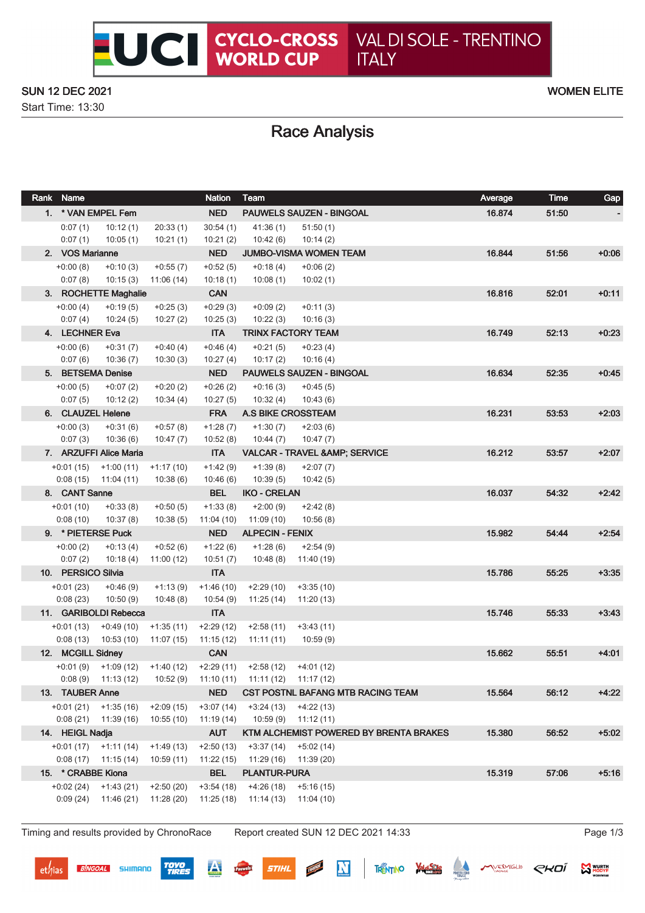#### SUN 12 DEC 2021 WOMEN ELITE

Start Time: 13:30

# Race Analysis

|                    | Rank Name                         |                         |                          | <b>Nation</b>             | Team                                       |                                          | Average | Time  | Gap     |
|--------------------|-----------------------------------|-------------------------|--------------------------|---------------------------|--------------------------------------------|------------------------------------------|---------|-------|---------|
|                    | 1. * VAN EMPEL Fem                |                         |                          | <b>NED</b>                |                                            | <b>PAUWELS SAUZEN - BINGOAL</b>          | 16.874  | 51:50 |         |
|                    | 0:07(1)                           | 10:12(1)                | 20:33(1)                 | 30:54(1)                  | 41:36(1)                                   | 51:50(1)                                 |         |       |         |
|                    | 0:07(1)                           | 10:05(1)                | 10:21(1)                 | 10:21(2)                  | 10:42(6)                                   | 10:14(2)                                 |         |       |         |
|                    | 2. VOS Marianne                   |                         |                          | <b>NED</b>                |                                            | <b>JUMBO-VISMA WOMEN TEAM</b>            | 16.844  | 51:56 | $+0.06$ |
|                    | $+0:00(8)$                        | $+0:10(3)$              | $+0:55(7)$               | $+0.52(5)$                | $+0:18(4)$                                 | $+0:06(2)$                               |         |       |         |
|                    | 0:07(8)                           | 10:15(3)                | 11:06 (14)               | 10:18(1)                  | 10:08 (1)                                  | 10:02(1)                                 |         |       |         |
|                    |                                   | 3. ROCHETTE Maghalie    | $+0.25(3)$               | <b>CAN</b>                |                                            |                                          | 16.816  | 52:01 | $+0:11$ |
|                    | $+0:00(4)$<br>0:07(4)             | $+0:19(5)$<br>10:24(5)  | 10:27(2)                 | $+0:29(3)$<br>10:25(3)    | $+0.09(2)$<br>10:22(3)                     | $+0:11(3)$<br>10:16(3)                   |         |       |         |
|                    | 4. LECHNER Eva                    |                         |                          | <b>ITA</b>                |                                            | <b>TRINX FACTORY TEAM</b>                | 16.749  | 52:13 | $+0.23$ |
|                    | $+0:00(6)$                        | $+0:31(7)$              | $+0.40(4)$               | $+0:46(4)$                | $+0:21(5)$                                 | $+0:23(4)$                               |         |       |         |
|                    | 0:07(6)                           | 10:36(7)                | 10:30(3)                 | 10:27(4)                  | 10:17(2)                                   | 10:16(4)                                 |         |       |         |
|                    | 5. BETSEMA Denise                 |                         |                          | <b>NED</b>                |                                            | PAUWELS SAUZEN - BINGOAL                 | 16.634  | 52:35 | $+0.45$ |
|                    | $+0:00(5)$                        | $+0:07(2)$              | $+0:20(2)$               | $+0.26(2)$                | $+0:16(3)$                                 | $+0:45(5)$                               |         |       |         |
|                    | 0:07(5)                           | 10:12(2)                | 10:34(4)                 | 10:27(5)                  | 10:32(4)                                   | 10:43(6)                                 |         |       |         |
|                    | 6. CLAUZEL Helene                 |                         |                          | <b>FRA</b>                | <b>A.S BIKE CROSSTEAM</b>                  |                                          | 16.231  | 53:53 | $+2:03$ |
|                    | $+0:00(3)$<br>0:07(3)             | $+0:31(6)$<br>10:36(6)  | $+0:57(8)$<br>10:47(7)   | $+1:28(7)$<br>10:52(8)    | $+1:30(7)$<br>10:44(7)                     | $+2:03(6)$<br>10:47(7)                   |         |       |         |
|                    |                                   | 7. ARZUFFI Alice Maria  |                          | <b>ITA</b>                |                                            | VALCAR - TRAVEL & AMP; SERVICE           | 16.212  | 53:57 | $+2:07$ |
|                    | $+0:01(15)$                       | $+1:00(11)$             | $+1:17(10)$              | $+1:42(9)$                | $+1:39(8)$                                 | $+2:07(7)$                               |         |       |         |
|                    | 0:08(15)                          | 11:04 (11)              | 10:38(6)                 | 10:46(6)                  | 10:39(5)                                   | 10:42(5)                                 |         |       |         |
|                    | 8. CANT Sanne                     |                         |                          | <b>BEL</b>                | <b>IKO - CRELAN</b>                        |                                          | 16.037  | 54:32 | $+2:42$ |
|                    | $+0:01(10)$                       | $+0:33(8)$              | $+0:50(5)$               | $+1:33(8)$                | $+2:00(9)$                                 | $+2:42(8)$                               |         |       |         |
|                    | 0:08(10)                          | 10:37(8)                | 10:38(5)                 | 11:04 (10)                | 11:09 (10)                                 | 10:56(8)                                 |         |       |         |
|                    | 9. * PIETERSE Puck                |                         |                          | <b>NED</b>                | <b>ALPECIN - FENIX</b>                     |                                          | 15.982  | 54:44 | $+2:54$ |
|                    | $+0:00(2)$                        | $+0:13(4)$              | $+0.52(6)$               | $+1:22(6)$                | $+1:28(6)$                                 | $+2:54(9)$                               |         |       |         |
|                    | 0:07(2)                           | 10:18 (4)               | 11:00(12)                | 10:51(7)<br><b>ITA</b>    | 10:48 (8)                                  | 11:40 (19)                               |         |       |         |
|                    | 10. PERSICO Silvia<br>$+0:01(23)$ | $+0:46(9)$              | $+1:13(9)$               | $+1:46(10)$               | $+2:29(10)$                                | $+3:35(10)$                              | 15.786  | 55:25 | $+3:35$ |
|                    | 0:08(23)                          | 10:50(9)                | 10:48(8)                 | 10:54(9)                  | 11:25(14)                                  | 11:20 (13)                               |         |       |         |
|                    |                                   | 11. GARIBOLDI Rebecca   |                          | <b>ITA</b>                |                                            |                                          | 15.746  | 55:33 | $+3:43$ |
|                    | $+0:01(13)$                       | $+0.49(10)$             | $+1:35(11)$              | $+2:29(12)$               | $+2:58(11)$                                | $+3:43(11)$                              |         |       |         |
|                    | 0:08(13)                          | 10:53 (10)              | 11:07 (15)               | 11:15 (12)                | 11:11(11)                                  | 10:59(9)                                 |         |       |         |
|                    | 12. MCGILL Sidney                 |                         |                          | <b>CAN</b>                |                                            |                                          | 15.662  | 55:51 | $+4:01$ |
|                    |                                   | $+0.01(9)$ $+1.09(12)$  | +1:40 (12)               |                           | $+2:29(11)$ $+2:58(12)$ $+4:01(12)$        |                                          |         |       |         |
|                    |                                   | $0:08(9)$ 11:13 (12)    |                          |                           | 10:52 (9) 11:10 (11) 11:11 (12) 11:17 (12) |                                          |         |       |         |
|                    | 13. TAUBER Anne                   |                         |                          | <b>NED</b>                |                                            | <b>CST POSTNL BAFANG MTB RACING TEAM</b> | 15.564  | 56:12 | $+4:22$ |
|                    | $+0:01(21)$ $+1:35(16)$           | $0:08(21)$ 11:39 (16)   | $+2:09(15)$<br>10:55(10) | $+3:07(14)$<br>11:19 (14) | $+3:24(13)$<br>10:59(9)                    | $+4:22(13)$<br>11:12 (11)                |         |       |         |
|                    | 14. HEIGL Nadja                   |                         |                          | <b>AUT</b>                |                                            | KTM ALCHEMIST POWERED BY BRENTA BRAKES   | 15.380  | 56:52 | $+5:02$ |
|                    |                                   | $+0:01(17)$ $+1:11(14)$ | $+1:49(13)$              | $+2:50(13)$               | +3:37 (14)                                 | +5:02 (14)                               |         |       |         |
|                    |                                   | $0:08(17)$ 11:15 (14)   | 10:59(11)                | 11:22 (15)                | 11:29 (16)                                 | 11:39 (20)                               |         |       |         |
| 15. * CRABBE Kiona |                                   |                         |                          | <b>BEL</b>                | <b>PLANTUR-PURA</b>                        |                                          | 15.319  | 57:06 | $+5:16$ |
|                    |                                   | $+0.02(24)$ $+1.43(21)$ | $+2:50(20)$              | $+3:54(18)$               | $+4:26(18)$                                | $+5:16(15)$                              |         |       |         |
|                    | 0:09(24)                          | 11:46 (21)              | 11:28(20)                | 11:25(18)                 | 11:14(13)                                  | 11:04 (10)                               |         |       |         |
|                    |                                   |                         |                          |                           |                                            |                                          |         |       |         |

Timing and results provided by ChronoRace Report created SUN 12 DEC 2021 14:33 Page 1/3

**BINGOAL** SHIMANO

**TOYO**<br>TIRES

 $\boldsymbol{\mathbf{A}}$ 

**STIHL** 

 $\mathbf{N}$ 

**M** WURTH

THENTINO VALUES AND VERMIGLIO CHOI

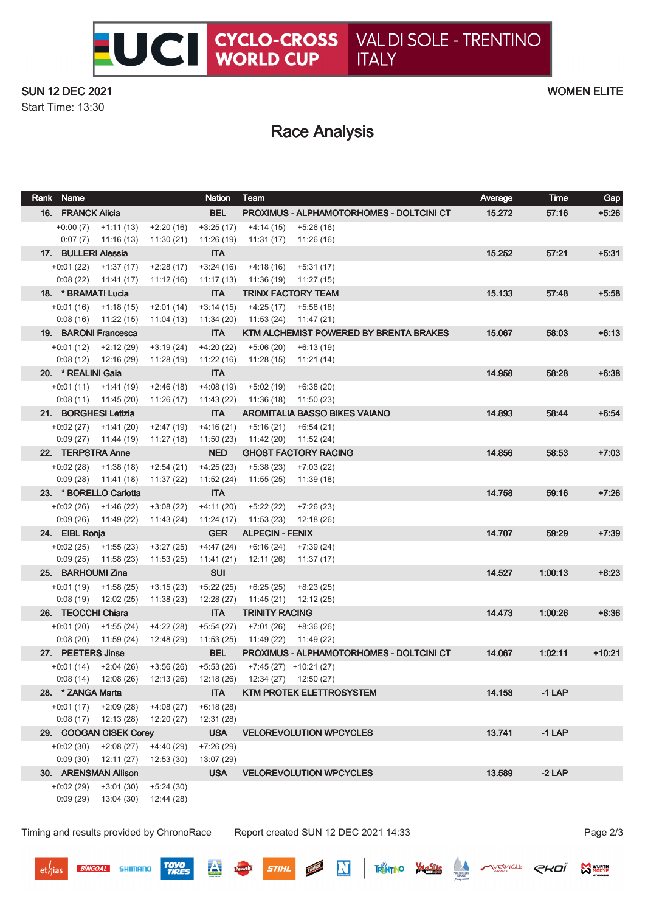#### SUN 12 DEC 2021 WOMEN ELITE

Start Time: 13:30

# Race Analysis

| Rank Name                       |                                                   |                           | <b>Nation</b>             | Team                                                             | Average | Time     | Gap      |
|---------------------------------|---------------------------------------------------|---------------------------|---------------------------|------------------------------------------------------------------|---------|----------|----------|
| 16. FRANCK Alicia               |                                                   |                           | <b>BEL</b>                | <b>PROXIMUS - ALPHAMOTORHOMES - DOLTCINI CT</b>                  | 15.272  | 57:16    | $+5:26$  |
|                                 | $+0:00(7)$ $+1:11(13)$                            | $+2:20(16)$               | $+3:25(17)$               | +4:14 (15)<br>$+5:26(16)$                                        |         |          |          |
| 0:07(7)                         | 11:16 (13)                                        | 11:30(21)                 | 11:26(19)                 | 11:31 (17)<br>11:26 (16)                                         |         |          |          |
| 17. BULLERI Alessia             |                                                   |                           | <b>ITA</b>                |                                                                  | 15.252  | 57:21    | $+5.31$  |
| $+0:01(22)$                     | $+1:37(17)$                                       | $+2:28(17)$               | $+3:24(16)$               | $+4:18(16)$<br>$+5:31(17)$                                       |         |          |          |
| 0:08(22)<br>18. * BRAMATI Lucia | 11:41 (17)                                        | 11:12 (16)                | 11:17 (13)<br><b>ITA</b>  | 11:36 (19)<br>11:27 (15)<br><b>TRINX FACTORY TEAM</b>            | 15.133  | 57:48    | $+5:58$  |
|                                 | $+0:01(16)$ $+1:18(15)$                           | $+2:01(14)$               | $+3:14(15)$               | $+4:25(17)$<br>$+5:58(18)$                                       |         |          |          |
|                                 | $0:08(16)$ 11:22 (15)                             | 11:04(13)                 | 11:34(20)                 | 11:53 (24)<br>11:47 (21)                                         |         |          |          |
| 19. BARONI Francesca            |                                                   |                           | <b>ITA</b>                | KTM ALCHEMIST POWERED BY BRENTA BRAKES                           | 15.067  | 58:03    | $+6:13$  |
|                                 | $+0:01(12)$ $+2:12(29)$                           | $+3:19(24)$               | $+4:20(22)$               | $+5:06(20)$<br>$+6:13(19)$                                       |         |          |          |
| 0:08(12)                        | 12:16 (29)                                        | 11:28 (19)                | 11:22(16)                 | 11:28 (15)<br>11:21(14)                                          |         |          |          |
| 20. * REALINI Gaia              |                                                   |                           | <b>ITA</b>                |                                                                  | 14.958  | 58:28    | $+6:38$  |
| $+0:01(11)$                     | +1:41 (19)<br>$0:08(11)$ 11:45 (20)               | $+2:46(18)$<br>11:26 (17) | $+4:08(19)$<br>11:43 (22) | $+5:02(19)$<br>$+6:38(20)$<br>11:36 (18)<br>11:50(23)            |         |          |          |
| 21. BORGHESI Letizia            |                                                   |                           | <b>ITA</b>                | <b>AROMITALIA BASSO BIKES VAIANO</b>                             | 14.893  | 58:44    | $+6:54$  |
| $+0.02(27)$                     | $+1:41(20)$                                       | $+2:47(19)$               | $+4:16(21)$               | $+5:16(21)$<br>$+6:54(21)$                                       |         |          |          |
| 0:09(27)                        | 11:44 (19)                                        | 11:27 (18)                | 11:50(23)                 | 11:42 (20)<br>11:52 (24)                                         |         |          |          |
| 22. TERPSTRA Anne               |                                                   |                           | <b>NED</b>                | <b>GHOST FACTORY RACING</b>                                      | 14.856  | 58:53    | $+7.03$  |
| $+0.02(28)$                     | +1:38 (18)                                        | $+2:54(21)$               | $+4:25(23)$               | $+5:38(23)$<br>+7:03 (22)                                        |         |          |          |
| 0:09(28)                        | 11:41 (18)                                        | 11:37 (22)                | 11:52 (24)                | 11:55 (25)<br>11:39 (18)                                         |         |          |          |
|                                 | 23. * BORELLO Carlotta                            |                           | <b>ITA</b>                |                                                                  | 14.758  | 59:16    | $+7:26$  |
| 0:09(26)                        | $+0.02(26)$ $+1.46(22)$<br>11:49 (22)             | $+3:08(22)$<br>11:43 (24) | $+4:11(20)$<br>11:24(17)  | $+5:22(22)$<br>$+7:26(23)$<br>11:53 (23)<br>12:18 (26)           |         |          |          |
| 24. EIBL Ronja                  |                                                   |                           | <b>GER</b>                | <b>ALPECIN - FENIX</b>                                           | 14.707  | 59:29    | $+7:39$  |
| $+0.02(25)$                     | $+1:55(23)$                                       | $+3:27(25)$               | $+4:47(24)$               | $+6:16(24)$<br>$+7:39(24)$                                       |         |          |          |
| 0:09(25)                        | 11:58 (23)                                        | 11:53(25)                 | 11:41 (21)                | 12:11 (26)<br>11:37 (17)                                         |         |          |          |
| 25. BARHOUMI Zina               |                                                   |                           | <b>SUI</b>                |                                                                  | 14.527  | 1.00:13  | $+8:23$  |
| $+0:01(19)$                     | +1:58 (25)                                        | $+3:15(23)$               | $+5:22(25)$               | $+6:25(25)$<br>$+8:23(25)$                                       |         |          |          |
| 0:08(19)                        | 12:02 (25)                                        | 11:38(23)                 | 12:28 (27)                | 11:45 (21)<br>12:12 (25)                                         |         |          |          |
| 26. TEOCCHI Chiara              |                                                   |                           | <b>ITA</b>                | <b>TRINITY RACING</b>                                            | 14.473  | 1.00:26  | $+8.36$  |
| $+0:01(20)$<br>0:08(20)         | $+1:55(24)$<br>11:59 (24)                         | $+4:22(28)$<br>12:48 (29) | $+5:54(27)$<br>11:53 (25) | $+7:01(26)$<br>$+8:36(26)$<br>11:49 (22)<br>11:49 (22)           |         |          |          |
| 27. PEETERS Jinse               |                                                   |                           | <b>BEL</b>                | PROXIMUS - ALPHAMOTORHOMES - DOLTCINI CT                         | 14.067  | 1.02:11  | $+10:21$ |
|                                 | $+0.01(14)$ $+2.04(26)$                           | +3:56 (26)                | $+5:53(26)$               | $+7:45(27)$ $+10:21(27)$                                         |         |          |          |
|                                 |                                                   |                           |                           | 0:08 (14) 12:08 (26) 12:13 (26) 12:18 (26) 12:34 (27) 12:50 (27) |         |          |          |
| 28. * ZANGA Marta               |                                                   |                           | <b>ITA</b>                | <b>KTM PROTEK ELETTROSYSTEM</b>                                  | 14.158  | $-1$ LAP |          |
|                                 | $+0.01(17)$ $+2.09(28)$                           | $+4:08(27)$               | $+6:18(28)$               |                                                                  |         |          |          |
|                                 | $0:08(17)$ 12:13 (28)                             | 12:20 (27)                | 12:31 (28)                | <b>VELOREVOLUTION WPCYCLES</b>                                   |         |          |          |
|                                 | 29. COOGAN CISEK Corey<br>$+0.02(30)$ $+2.08(27)$ | $+4:40(29)$               | <b>USA</b><br>$+7:26(29)$ |                                                                  | 13.741  | $-1$ LAP |          |
|                                 | $0:09(30)$ 12:11 (27)                             | 12:53(30)                 | 13:07 (29)                |                                                                  |         |          |          |
|                                 | 30. ARENSMAN Allison                              |                           | <b>USA</b>                | <b>VELOREVOLUTION WPCYCLES</b>                                   | 13.589  | $-2$ LAP |          |
| $+0.02(29)$                     | $+3:01(30)$                                       | $+5:24(30)$               |                           |                                                                  |         |          |          |
| 0:09(29)                        | 13:04(30)                                         | 12:44 (28)                |                           |                                                                  |         |          |          |
|                                 |                                                   |                           |                           |                                                                  |         |          |          |

Timing and results provided by ChronoRace Report created SUN 12 DEC 2021 14:33 Page 2/3

**BINGOAL** SHIMANO

**TOYO**<br>TIRES

 $\overline{\mathbf{A}}$ 

 $\mathbf N$ 

**MARKAMT** 

**STIHL** 

**MANUAL MODYE** 

THENTINO VALUES COMPRESSION CHOI